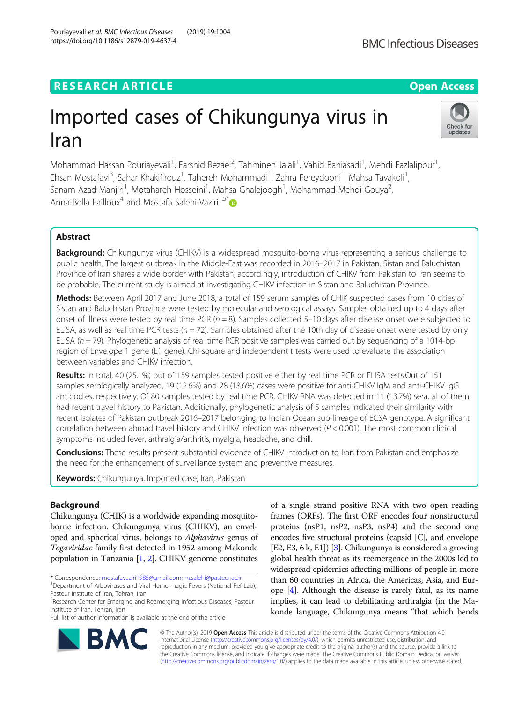# **RESEARCH ARTICLE CONSIDERING A RESEARCH ARTICLE**

# Imported cases of Chikungunya virus in Iran

Mohammad Hassan Pouriayevali<sup>1</sup>, Farshid Rezaei<sup>2</sup>, Tahmineh Jalali<sup>1</sup>, Vahid Baniasadi<sup>1</sup>, Mehdi Fazlalipour<sup>1</sup> , Ehsan Mostafavi<sup>3</sup>, Sahar Khakifirouz<sup>1</sup>, Tahereh Mohammadi<sup>1</sup>, Zahra Fereydooni<sup>1</sup>, Mahsa Tavakoli<sup>1</sup> , Sanam Azad-Manjiri<sup>1</sup>, Motahareh Hosseini<sup>1</sup>, Mahsa Ghalejoogh<sup>1</sup>, Mohammad Mehdi Gouya<sup>2</sup> .<br>, Anna-Bella Failloux<sup>4</sup> and Mostafa Salehi-Vaziri<sup>1,5\*</sup> $\bullet$ 

# Abstract

Background: Chikungunya virus (CHIKV) is a widespread mosquito-borne virus representing a serious challenge to public health. The largest outbreak in the Middle-East was recorded in 2016–2017 in Pakistan. Sistan and Baluchistan Province of Iran shares a wide border with Pakistan; accordingly, introduction of CHIKV from Pakistan to Iran seems to be probable. The current study is aimed at investigating CHIKV infection in Sistan and Baluchistan Province.

Methods: Between April 2017 and June 2018, a total of 159 serum samples of CHIK suspected cases from 10 cities of Sistan and Baluchistan Province were tested by molecular and serological assays. Samples obtained up to 4 days after onset of illness were tested by real time PCR ( $n = 8$ ). Samples collected 5-10 days after disease onset were subjected to ELISA, as well as real time PCR tests ( $n = 72$ ). Samples obtained after the 10th day of disease onset were tested by only ELISA ( $n = 79$ ). Phylogenetic analysis of real time PCR positive samples was carried out by sequencing of a 1014-bp region of Envelope 1 gene (E1 gene). Chi-square and independent t tests were used to evaluate the association between variables and CHIKV infection.

Results: In total, 40 (25.1%) out of 159 samples tested positive either by real time PCR or ELISA tests.Out of 151 samples serologically analyzed, 19 (12.6%) and 28 (18.6%) cases were positive for anti-CHIKV IgM and anti-CHIKV IgG antibodies, respectively. Of 80 samples tested by real time PCR, CHIKV RNA was detected in 11 (13.7%) sera, all of them had recent travel history to Pakistan. Additionally, phylogenetic analysis of 5 samples indicated their similarity with recent isolates of Pakistan outbreak 2016–2017 belonging to Indian Ocean sub-lineage of ECSA genotype. A significant correlation between abroad travel history and CHIKV infection was observed  $(P < 0.001)$ . The most common clinical symptoms included fever, arthralgia/arthritis, myalgia, headache, and chill.

Conclusions: These results present substantial evidence of CHIKV introduction to Iran from Pakistan and emphasize the need for the enhancement of surveillance system and preventive measures.

Keywords: Chikungunya, Imported case, Iran, Pakistan

# Background

Chikungunya (CHIK) is a worldwide expanding mosquitoborne infection. Chikungunya virus (CHIKV), an enveloped and spherical virus, belongs to Alphavirus genus of Togaviridae family first detected in 1952 among Makonde population in Tanzania [\[1](#page-7-0), [2](#page-7-0)]. CHIKV genome constitutes

\* Correspondence: [mostafavaziri1985@gmail.com](mailto:mostafavaziri1985@gmail.com); [m.salehi@pasteur.ac.ir](mailto:m.salehi@pasteur.ac.ir) <sup>1</sup>

Full list of author information is available at the end of the article

of a single strand positive RNA with two open reading frames (ORFs). The first ORF encodes four nonstructural proteins (nsP1, nsP2, nsP3, nsP4) and the second one encodes five structural proteins (capsid [C], and envelope [E2, E3, 6 k, E1]) [\[3\]](#page-7-0). Chikungunya is considered a growing global health threat as its reemergence in the 2000s led to widespread epidemics affecting millions of people in more than 60 countries in Africa, the Americas, Asia, and Europe [\[4](#page-7-0)]. Although the disease is rarely fatal, as its name implies, it can lead to debilitating arthralgia (in the Makonde language, Chikungunya means "that which bends

© The Author(s). 2019 Open Access This article is distributed under the terms of the Creative Commons Attribution 4.0 International License [\(http://creativecommons.org/licenses/by/4.0/](http://creativecommons.org/licenses/by/4.0/)), which permits unrestricted use, distribution, and reproduction in any medium, provided you give appropriate credit to the original author(s) and the source, provide a link to the Creative Commons license, and indicate if changes were made. The Creative Commons Public Domain Dedication waiver [\(http://creativecommons.org/publicdomain/zero/1.0/](http://creativecommons.org/publicdomain/zero/1.0/)) applies to the data made available in this article, unless otherwise stated.





Check for undates

<sup>&</sup>lt;sup>1</sup>Department of Arboviruses and Viral Hemorrhagic Fevers (National Ref Lab), Pasteur Institute of Iran, Tehran, Iran

<sup>&</sup>lt;sup>5</sup>Research Center for Emerging and Reemerging Infectious Diseases, Pasteur Institute of Iran, Tehran, Iran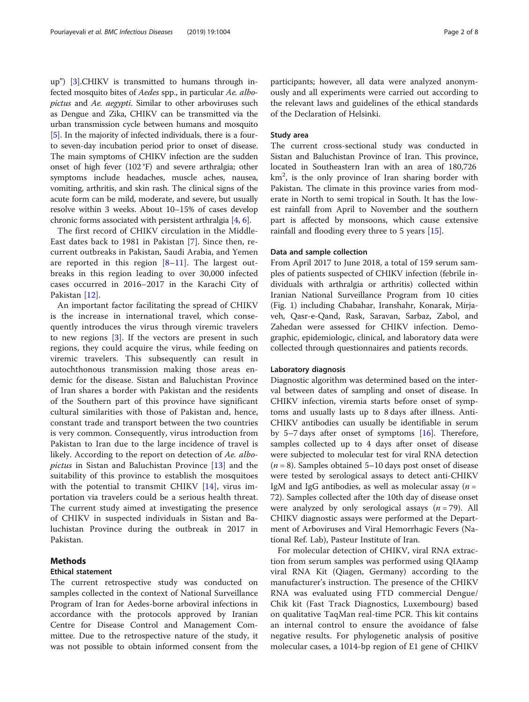up") [\[3\]](#page-7-0).CHIKV is transmitted to humans through infected mosquito bites of Aedes spp., in particular Ae. albopictus and Ae. aegypti. Similar to other arboviruses such as Dengue and Zika, CHIKV can be transmitted via the urban transmission cycle between humans and mosquito [[5\]](#page-7-0). In the majority of infected individuals, there is a fourto seven-day incubation period prior to onset of disease. The main symptoms of CHIKV infection are the sudden onset of high fever (102 °F) and severe arthralgia; other symptoms include headaches, muscle aches, nausea, vomiting, arthritis, and skin rash. The clinical signs of the acute form can be mild, moderate, and severe, but usually resolve within 3 weeks. About 10–15% of cases develop chronic forms associated with persistent arthralgia [[4](#page-7-0), [6\]](#page-7-0).

The first record of CHIKV circulation in the Middle-East dates back to 1981 in Pakistan [\[7](#page-7-0)]. Since then, recurrent outbreaks in Pakistan, Saudi Arabia, and Yemen are reported in this region [[8](#page-7-0)–[11\]](#page-7-0). The largest outbreaks in this region leading to over 30,000 infected cases occurred in 2016–2017 in the Karachi City of Pakistan [[12\]](#page-7-0).

An important factor facilitating the spread of CHIKV is the increase in international travel, which consequently introduces the virus through viremic travelers to new regions [[3](#page-7-0)]. If the vectors are present in such regions, they could acquire the virus, while feeding on viremic travelers. This subsequently can result in autochthonous transmission making those areas endemic for the disease. Sistan and Baluchistan Province of Iran shares a border with Pakistan and the residents of the Southern part of this province have significant cultural similarities with those of Pakistan and, hence, constant trade and transport between the two countries is very common. Consequently, virus introduction from Pakistan to Iran due to the large incidence of travel is likely. According to the report on detection of Ae. albo-pictus in Sistan and Baluchistan Province [[13\]](#page-7-0) and the suitability of this province to establish the mosquitoes with the potential to transmit CHIKV [[14\]](#page-7-0), virus importation via travelers could be a serious health threat. The current study aimed at investigating the presence of CHIKV in suspected individuals in Sistan and Baluchistan Province during the outbreak in 2017 in Pakistan.

# Methods

## Ethical statement

The current retrospective study was conducted on samples collected in the context of National Surveillance Program of Iran for Aedes-borne arboviral infections in accordance with the protocols approved by Iranian Centre for Disease Control and Management Committee. Due to the retrospective nature of the study, it was not possible to obtain informed consent from the participants; however, all data were analyzed anonymously and all experiments were carried out according to the relevant laws and guidelines of the ethical standards of the Declaration of Helsinki.

## Study area

The current cross-sectional study was conducted in Sistan and Baluchistan Province of Iran. This province, located in Southeastern Iran with an area of 180,726 km<sup>2</sup> , is the only province of Iran sharing border with Pakistan. The climate in this province varies from moderate in North to semi tropical in South. It has the lowest rainfall from April to November and the southern part is affected by monsoons, which cause extensive rainfall and flooding every three to 5 years  $[15]$  $[15]$  $[15]$ .

## Data and sample collection

From April 2017 to June 2018, a total of 159 serum samples of patients suspected of CHIKV infection (febrile individuals with arthralgia or arthritis) collected within Iranian National Surveillance Program from 10 cities (Fig. [1](#page-2-0)) including Chabahar, Iranshahr, Konarak, Mirjaveh, Qasr-e-Qand, Rask, Saravan, Sarbaz, Zabol, and Zahedan were assessed for CHIKV infection. Demographic, epidemiologic, clinical, and laboratory data were collected through questionnaires and patients records.

#### Laboratory diagnosis

Diagnostic algorithm was determined based on the interval between dates of sampling and onset of disease. In CHIKV infection, viremia starts before onset of symptoms and usually lasts up to 8 days after illness. Anti-CHIKV antibodies can usually be identifiable in serum by 5–7 days after onset of symptoms [\[16](#page-7-0)]. Therefore, samples collected up to 4 days after onset of disease were subjected to molecular test for viral RNA detection  $(n = 8)$ . Samples obtained 5–10 days post onset of disease were tested by serological assays to detect anti-CHIKV IgM and IgG antibodies, as well as molecular assay  $(n =$ 72). Samples collected after the 10th day of disease onset were analyzed by only serological assays  $(n = 79)$ . All CHIKV diagnostic assays were performed at the Department of Arboviruses and Viral Hemorrhagic Fevers (National Ref. Lab), Pasteur Institute of Iran.

For molecular detection of CHIKV, viral RNA extraction from serum samples was performed using QIAamp viral RNA Kit (Qiagen, Germany) according to the manufacturer's instruction. The presence of the CHIKV RNA was evaluated using FTD commercial Dengue/ Chik kit (Fast Track Diagnostics, Luxembourg) based on qualitative TaqMan real-time PCR. This kit contains an internal control to ensure the avoidance of false negative results. For phylogenetic analysis of positive molecular cases, a 1014-bp region of E1 gene of CHIKV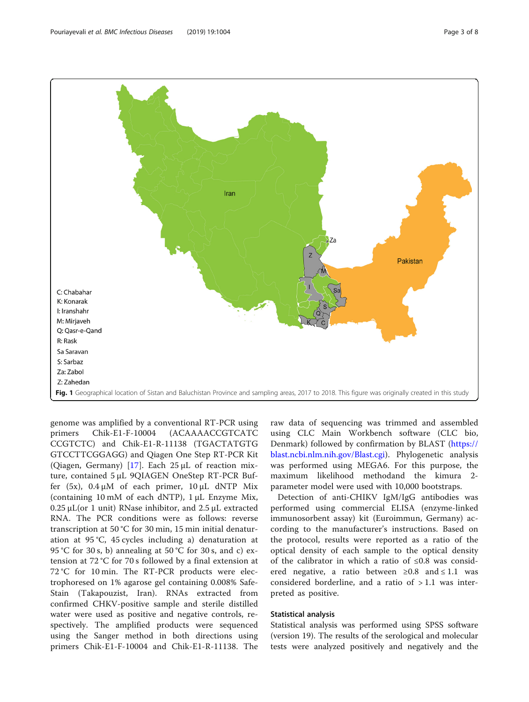<span id="page-2-0"></span>



genome was amplified by a conventional RT-PCR using primers Chik-E1-F-10004 (ACAAAACCGTCATC CCGTCTC) and Chik-E1-R-11138 (TGACTATGTG GTCCTTCGGAGG) and Qiagen One Step RT-PCR Kit (Qiagen, Germany) [\[17](#page-7-0)]. Each 25 μL of reaction mixture, contained 5 μL 9QIAGEN OneStep RT-PCR Buffer (5x),  $0.4 \mu M$  of each primer,  $10 \mu L$  dNTP Mix (containing 10 mM of each dNTP), 1 μL Enzyme Mix, 0.25 μL(or 1 unit) RNase inhibitor, and 2.5 μL extracted RNA. The PCR conditions were as follows: reverse transcription at 50 °C for 30 min, 15 min initial denaturation at 95 °C, 45 cycles including a) denaturation at 95 °C for 30 s, b) annealing at 50 °C for 30 s, and c) extension at 72 °C for 70 s followed by a final extension at 72 °C for 10 min. The RT-PCR products were electrophoresed on 1% agarose gel containing 0.008% Safe-Stain (Takapouzist, Iran). RNAs extracted from confirmed CHKV-positive sample and sterile distilled water were used as positive and negative controls, respectively. The amplified products were sequenced using the Sanger method in both directions using primers Chik-E1-F-10004 and Chik-E1-R-11138. The

raw data of sequencing was trimmed and assembled using CLC Main Workbench software (CLC bio, Denmark) followed by confirmation by BLAST ([https://](https://blast.ncbi.nlm.nih.gov/Blast.cgi) [blast.ncbi.nlm.nih.gov/Blast.cgi\)](https://blast.ncbi.nlm.nih.gov/Blast.cgi). Phylogenetic analysis was performed using MEGA6. For this purpose, the maximum likelihood methodand the kimura 2 parameter model were used with 10,000 bootstraps.

Detection of anti-CHIKV IgM/IgG antibodies was performed using commercial ELISA (enzyme-linked immunosorbent assay) kit (Euroimmun, Germany) according to the manufacturer's instructions. Based on the protocol, results were reported as a ratio of the optical density of each sample to the optical density of the calibrator in which a ratio of ≤0.8 was considered negative, a ratio between  $\geq 0.8$  and  $\leq 1.1$  was considered borderline, and a ratio of  $>1.1$  was interpreted as positive.

# Statistical analysis

Statistical analysis was performed using SPSS software (version 19). The results of the serological and molecular tests were analyzed positively and negatively and the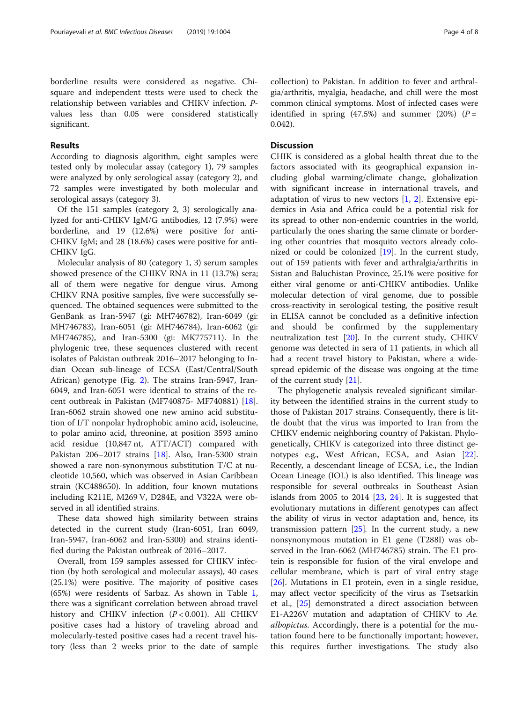borderline results were considered as negative. Chisquare and independent ttests were used to check the relationship between variables and CHIKV infection. Pvalues less than 0.05 were considered statistically significant.

# Results

According to diagnosis algorithm, eight samples were tested only by molecular assay (category 1), 79 samples were analyzed by only serological assay (category 2), and 72 samples were investigated by both molecular and serological assays (category 3).

Of the 151 samples (category 2, 3) serologically analyzed for anti-CHIKV IgM/G antibodies, 12 (7.9%) were borderline, and 19 (12.6%) were positive for anti-CHIKV IgM; and 28 (18.6%) cases were positive for anti-CHIKV IgG.

Molecular analysis of 80 (category 1, 3) serum samples showed presence of the CHIKV RNA in 11 (13.7%) sera; all of them were negative for dengue virus. Among CHIKV RNA positive samples, five were successfully sequenced. The obtained sequences were submitted to the GenBank as Iran-5947 (gi: MH746782), Iran-6049 (gi: MH746783), Iran-6051 (gi: MH746784), Iran-6062 (gi: MH746785), and Iran-5300 (gi: MK775711). In the phylogenic tree, these sequences clustered with recent isolates of Pakistan outbreak 2016–2017 belonging to Indian Ocean sub-lineage of ECSA (East/Central/South African) genotype (Fig. [2](#page-4-0)). The strains Iran-5947, Iran-6049, and Iran-6051 were identical to strains of the recent outbreak in Pakistan (MF740875- MF740881) [\[18](#page-7-0)]. Iran-6062 strain showed one new amino acid substitution of I/T nonpolar hydrophobic amino acid, isoleucine, to polar amino acid, threonine, at position 3593 amino acid residue (10,847 nt, ATT/ACT) compared with Pakistan 206–2017 strains [\[18](#page-7-0)]. Also, Iran-5300 strain showed a rare non-synonymous substitution T/C at nucleotide 10,560, which was observed in Asian Caribbean strain (KC488650). In addition, four known mutations including K211E, M269 V, D284E, and V322A were observed in all identified strains.

These data showed high similarity between strains detected in the current study (Iran-6051, Iran 6049, Iran-5947, Iran-6062 and Iran-5300) and strains identified during the Pakistan outbreak of 2016–2017.

Overall, from 159 samples assessed for CHIKV infection (by both serological and molecular assays), 40 cases (25.1%) were positive. The majority of positive cases (65%) were residents of Sarbaz. As shown in Table [1](#page-5-0), there was a significant correlation between abroad travel history and CHIKV infection  $(P < 0.001)$ . All CHIKV positive cases had a history of traveling abroad and molecularly-tested positive cases had a recent travel history (less than 2 weeks prior to the date of sample

collection) to Pakistan. In addition to fever and arthralgia/arthritis, myalgia, headache, and chill were the most common clinical symptoms. Most of infected cases were identified in spring  $(47.5%)$  and summer  $(20%)$   $(P=$ 0.042).

# **Discussion**

CHIK is considered as a global health threat due to the factors associated with its geographical expansion including global warming/climate change, globalization with significant increase in international travels, and adaptation of virus to new vectors  $[1, 2]$  $[1, 2]$  $[1, 2]$  $[1, 2]$  $[1, 2]$ . Extensive epidemics in Asia and Africa could be a potential risk for its spread to other non-endemic countries in the world, particularly the ones sharing the same climate or bordering other countries that mosquito vectors already colonized or could be colonized [[19\]](#page-7-0). In the current study, out of 159 patients with fever and arthralgia/arthritis in Sistan and Baluchistan Province, 25.1% were positive for either viral genome or anti-CHIKV antibodies. Unlike molecular detection of viral genome, due to possible cross-reactivity in serological testing, the positive result in ELISA cannot be concluded as a definitive infection and should be confirmed by the supplementary neutralization test  $[20]$  $[20]$ . In the current study, CHIKV genome was detected in sera of 11 patients, in which all had a recent travel history to Pakistan, where a widespread epidemic of the disease was ongoing at the time of the current study [\[21](#page-7-0)].

The phylogenetic analysis revealed significant similarity between the identified strains in the current study to those of Pakistan 2017 strains. Consequently, there is little doubt that the virus was imported to Iran from the CHIKV endemic neighboring country of Pakistan. Phylogenetically, CHIKV is categorized into three distinct genotypes e.g., West African, ECSA, and Asian [\[22](#page-7-0)]. Recently, a descendant lineage of ECSA, i.e., the Indian Ocean Lineage (IOL) is also identified. This lineage was responsible for several outbreaks in Southeast Asian islands from 2005 to 2014 [\[23,](#page-7-0) [24\]](#page-7-0). It is suggested that evolutionary mutations in different genotypes can affect the ability of virus in vector adaptation and, hence, its transmission pattern  $[25]$  $[25]$  $[25]$ . In the current study, a new nonsynonymous mutation in E1 gene (T288I) was observed in the Iran-6062 (MH746785) strain. The E1 protein is responsible for fusion of the viral envelope and cellular membrane, which is part of viral entry stage [[26\]](#page-7-0). Mutations in E1 protein, even in a single residue, may affect vector specificity of the virus as Tsetsarkin et al., [\[25\]](#page-7-0) demonstrated a direct association between E1-A226V mutation and adaptation of CHIKV to Ae. albopictus. Accordingly, there is a potential for the mutation found here to be functionally important; however, this requires further investigations. The study also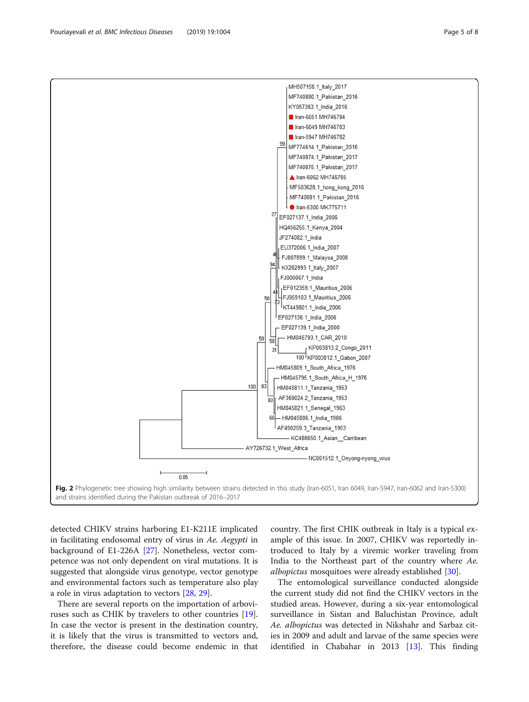detected CHIKV strains harboring E1-K211E implicated in facilitating endosomal entry of virus in Ae. Aegypti in background of E1-226A [\[27](#page-7-0)]. Nonetheless, vector competence was not only dependent on viral mutations. It is suggested that alongside virus genotype, vector genotype and environmental factors such as temperature also play a role in virus adaptation to vectors [[28,](#page-7-0) [29\]](#page-7-0).

There are several reports on the importation of arboviruses such as CHIK by travelers to other countries [\[19](#page-7-0)]. In case the vector is present in the destination country, it is likely that the virus is transmitted to vectors and, therefore, the disease could become endemic in that

country. The first CHIK outbreak in Italy is a typical example of this issue. In 2007, CHIKV was reportedly introduced to Italy by a viremic worker traveling from India to the Northeast part of the country where Ae. albopictus mosquitoes were already established [[30\]](#page-7-0).

The entomological surveillance conducted alongside the current study did not find the CHIKV vectors in the studied areas. However, during a six-year entomological surveillance in Sistan and Baluchistan Province, adult Ae. albopictus was detected in Nikshahr and Sarbaz cities in 2009 and adult and larvae of the same species were identified in Chabahar in 2013 [[13](#page-7-0)]. This finding

<span id="page-4-0"></span>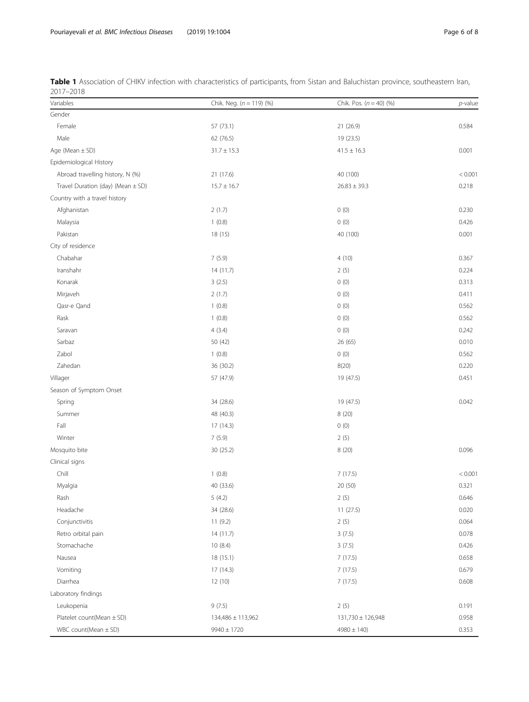<span id="page-5-0"></span>Table 1 Association of CHIKV infection with characteristics of participants, from Sistan and Baluchistan province, southeastern Iran, 2017–2018

| Variables                             | Chik. Neq. $(n = 119)$ (%) | Chik. Pos. $(n = 40)$ (%) | $p$ -value |
|---------------------------------------|----------------------------|---------------------------|------------|
| Gender                                |                            |                           |            |
| Female                                | 57 (73.1)                  | 21 (26.9)                 | 0.584      |
| Male                                  | 62 (76.5)                  | 19 (23.5)                 |            |
| Age (Mean $\pm$ SD)                   | $31.7 \pm 15.3$            | $41.5 \pm 16.3$           | 0.001      |
| Epidemiological History               |                            |                           |            |
| Abroad travelling history, N (%)      | 21 (17.6)                  | 40 (100)                  | < 0.001    |
| Travel Duration (day) (Mean $\pm$ SD) | $15.7 \pm 16.7$            | $26.83 \pm 39.3$          | 0.218      |
| Country with a travel history         |                            |                           |            |
| Afghanistan                           | 2(1.7)                     | 0(0)                      | 0.230      |
| Malaysia                              | 1(0.8)                     | 0(0)                      | 0.426      |
| Pakistan                              | 18 (15)                    | 40 (100)                  | 0.001      |
| City of residence                     |                            |                           |            |
| Chabahar                              | 7(5.9)                     | 4(10)                     | 0.367      |
| Iranshahr                             | 14 (11.7)                  | 2(5)                      | 0.224      |
| Konarak                               | 3(2.5)                     | 0(0)                      | 0.313      |
| Mirjaveh                              | 2(1.7)                     | 0(0)                      | 0.411      |
| Qasr-e Qand                           | 1(0.8)                     | 0(0)                      | 0.562      |
| Rask                                  | 1(0.8)                     | 0(0)                      | 0.562      |
| Saravan                               | 4(3.4)                     | 0(0)                      | 0.242      |
| Sarbaz                                | 50 (42)                    | 26 (65)                   | 0.010      |
| Zabol                                 | 1(0.8)                     | 0(0)                      | 0.562      |
| Zahedan                               | 36 (30.2)                  | 8(20)                     | 0.220      |
| Villager                              | 57 (47.9)                  | 19 (47.5)                 | 0.451      |
| Season of Symptom Onset               |                            |                           |            |
| Spring                                | 34 (28.6)                  | 19 (47.5)                 | 0.042      |
| Summer                                | 48 (40.3)                  | 8 (20)                    |            |
| Fall                                  | 17 (14.3)                  | 0(0)                      |            |
| Winter                                | 7(5.9)                     | 2(5)                      |            |
| Mosquito bite                         | 30 (25.2)                  | 8 (20)                    | 0.096      |
| Clinical signs                        |                            |                           |            |
| Chill                                 | 1(0.8)                     | 7(17.5)                   | < 0.001    |
| Myalgia                               | 40 (33.6)                  | 20 (50)                   | 0.321      |
| Rash                                  | 5(4.2)                     | 2(5)                      | 0.646      |
| Headache                              | 34 (28.6)                  | 11(27.5)                  | 0.020      |
| Conjunctivitis                        | 11(9.2)                    | 2(5)                      | 0.064      |
| Retro orbital pain                    | 14(11.7)                   | 3(7.5)                    | 0.078      |
| Stomachache                           | 10(8.4)                    | 3(7.5)                    | 0.426      |
| Nausea                                | 18(15.1)                   | 7(17.5)                   | 0.658      |
| Vomiting                              | 17 (14.3)                  | 7(17.5)                   | 0.679      |
| Diarrhea                              | 12(10)                     | 7(17.5)                   | 0.608      |
| Laboratory findings                   |                            |                           |            |
| Leukopenia                            | 9(7.5)                     | 2(5)                      | 0.191      |
| Platelet count(Mean ± SD)             | 134,486 ± 113,962          | 131,730 ± 126,948         | 0.958      |
| $WBC$ count(Mean $\pm$ SD)            | $9940 \pm 1720$            | $4980 \pm 140$ )          | 0.353      |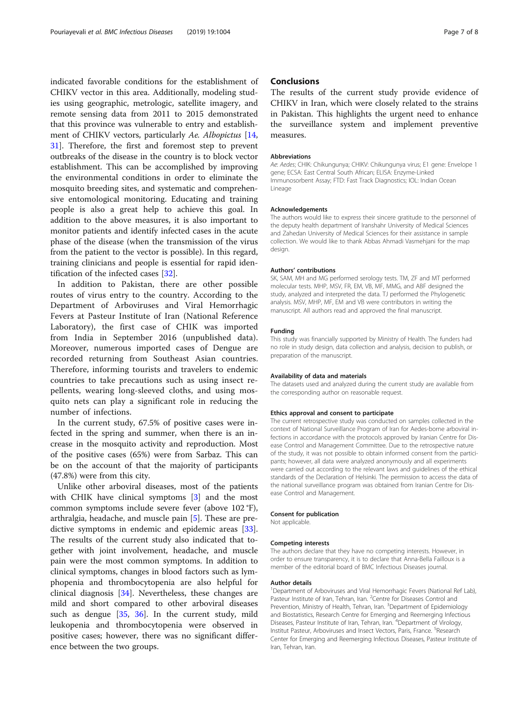indicated favorable conditions for the establishment of CHIKV vector in this area. Additionally, modeling studies using geographic, metrologic, satellite imagery, and remote sensing data from 2011 to 2015 demonstrated that this province was vulnerable to entry and establish-ment of CHIKV vectors, particularly Ae. Albopictus [[14](#page-7-0), [31\]](#page-7-0). Therefore, the first and foremost step to prevent outbreaks of the disease in the country is to block vector establishment. This can be accomplished by improving the environmental conditions in order to eliminate the mosquito breeding sites, and systematic and comprehensive entomological monitoring. Educating and training people is also a great help to achieve this goal. In addition to the above measures, it is also important to monitor patients and identify infected cases in the acute phase of the disease (when the transmission of the virus from the patient to the vector is possible). In this regard, training clinicians and people is essential for rapid identification of the infected cases [[32\]](#page-7-0).

In addition to Pakistan, there are other possible routes of virus entry to the country. According to the Department of Arboviruses and Viral Hemorrhagic Fevers at Pasteur Institute of Iran (National Reference Laboratory), the first case of CHIK was imported from India in September 2016 (unpublished data). Moreover, numerous imported cases of Dengue are recorded returning from Southeast Asian countries. Therefore, informing tourists and travelers to endemic countries to take precautions such as using insect repellents, wearing long-sleeved cloths, and using mosquito nets can play a significant role in reducing the number of infections.

In the current study, 67.5% of positive cases were infected in the spring and summer, when there is an increase in the mosquito activity and reproduction. Most of the positive cases (65%) were from Sarbaz. This can be on the account of that the majority of participants (47.8%) were from this city.

Unlike other arboviral diseases, most of the patients with CHIK have clinical symptoms [\[3\]](#page-7-0) and the most common symptoms include severe fever (above 102 °F), arthralgia, headache, and muscle pain [\[5](#page-7-0)]. These are predictive symptoms in endemic and epidemic areas [\[33](#page-7-0)]. The results of the current study also indicated that together with joint involvement, headache, and muscle pain were the most common symptoms. In addition to clinical symptoms, changes in blood factors such as lymphopenia and thrombocytopenia are also helpful for clinical diagnosis  $[34]$  $[34]$ . Nevertheless, these changes are mild and short compared to other arboviral diseases such as dengue [[35,](#page-7-0) [36\]](#page-7-0). In the current study, mild leukopenia and thrombocytopenia were observed in positive cases; however, there was no significant difference between the two groups.

## **Conclusions**

The results of the current study provide evidence of CHIKV in Iran, which were closely related to the strains in Pakistan. This highlights the urgent need to enhance the surveillance system and implement preventive measures.

#### Abbreviations

Ae: Aedes; CHIK: Chikungunya; CHIKV: Chikungunya virus; E1 gene: Envelope 1 gene; ECSA: East Central South African; ELISA: Enzyme-Linked Immunosorbent Assay; FTD: Fast Track Diagnostics; IOL: Indian Ocean Lineage

#### Acknowledgements

The authors would like to express their sincere gratitude to the personnel of the deputy health department of Iranshahr University of Medical Sciences and Zahedan University of Medical Sciences for their assistance in sample collection. We would like to thank Abbas Ahmadi Vasmehjani for the map design.

#### Authors' contributions

SK, SAM, MH and MG performed serology tests. TM, ZF and MT performed molecular tests. MHP, MSV, FR, EM, VB, MF, MMG, and ABF designed the study, analyzed and interpreted the data. TJ performed the Phylogenetic analysis. MSV, MHP, MF, EM and VB were contributors in writing the manuscript. All authors read and approved the final manuscript.

#### Funding

This study was financially supported by Ministry of Health. The funders had no role in study design, data collection and analysis, decision to publish, or preparation of the manuscript.

#### Availability of data and materials

The datasets used and analyzed during the current study are available from the corresponding author on reasonable request.

#### Ethics approval and consent to participate

The current retrospective study was conducted on samples collected in the context of National Surveillance Program of Iran for Aedes-borne arboviral infections in accordance with the protocols approved by Iranian Centre for Disease Control and Management Committee. Due to the retrospective nature of the study, it was not possible to obtain informed consent from the participants; however, all data were analyzed anonymously and all experiments were carried out according to the relevant laws and guidelines of the ethical standards of the Declaration of Helsinki. The permission to access the data of the national surveillance program was obtained from Iranian Centre for Disease Control and Management.

#### Consent for publication

Not applicable.

#### Competing interests

The authors declare that they have no competing interests. However, in order to ensure transparency, it is to declare that Anna-Bella Failloux is a member of the editorial board of BMC Infectious Diseases journal.

#### Author details

<sup>1</sup>Department of Arboviruses and Viral Hemorrhagic Fevers (National Ref Lab), Pasteur Institute of Iran, Tehran, Iran. <sup>2</sup> Centre for Diseases Control and Prevention, Ministry of Health, Tehran, Iran. <sup>3</sup>Department of Epidemiology and Biostatistics, Research Centre for Emerging and Reemerging Infectious Diseases, Pasteur Institute of Iran, Tehran, Iran. <sup>4</sup>Department of Virology Institut Pasteur, Arboviruses and Insect Vectors, Paris, France. <sup>5</sup>Research Center for Emerging and Reemerging Infectious Diseases, Pasteur Institute of Iran, Tehran, Iran.